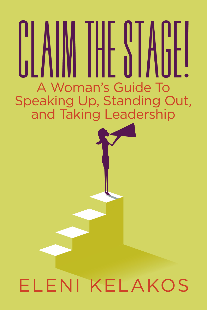# A Woman's Guide To Speaking Up, Standing Out, and Taking Leadership

## ELENI KELAKOS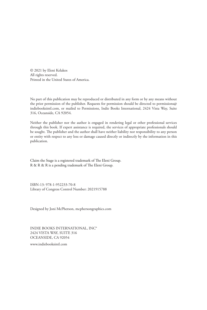© 2021 by Eleni Kelakos All rights reserved. Printed in the United States of America.

No part of this publication may be reproduced or distributed in any form or by any means without the prior permission of the publisher. Requests for permission should be directed to permissions@ indiebooksintl.com, or mailed to Permissions, Indie Books International, 2424 Vista Way, Suite 316, Oceanside, CA 92054.

Neither the publisher nor the author is engaged in rendering legal or other professional services through this book. If expert assistance is required, the services of appropriate professionals should be sought. The publisher and the author shall have neither liability nor responsibility to any person or entity with respect to any loss or damage caused directly or indirectly by the information in this publication.

Claim the Stage is a registered trademark of The Eleni Group. R & R & R is a pending trademark of The Eleni Group.

ISBN-13: 978-1-952233-70-8 Library of Congress Control Number: 2021915788

Designed by Joni McPherson, mcphersongraphics.com

INDIE BOOKS INTERNATIONAL, INC® 2424 VISTA WAY, SUITE 316 OCEANSIDE, CA 92054

www.indiebooksintl.com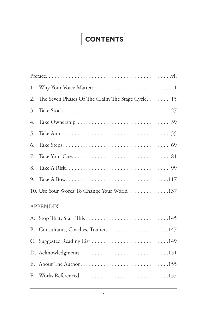#### [  $\left[\right.$  CONTENTS $\left.\right]$

| 1.              |                                                   |
|-----------------|---------------------------------------------------|
| 2.              | The Seven Phases Of The Claim The Stage Cycle. 15 |
| 3.              |                                                   |
| 4.              |                                                   |
| 5.              |                                                   |
| 6.              |                                                   |
| 7.              |                                                   |
| 8.              |                                                   |
| 9.              |                                                   |
|                 | 10. Use Your Words To Change Your World 137       |
| <b>APPENDIX</b> |                                                   |
|                 |                                                   |
| B.              |                                                   |
|                 | C. Suggested Reading List 149                     |
|                 | D. Acknowledgments151                             |
| E.              | About The Author155                               |
| F.              |                                                   |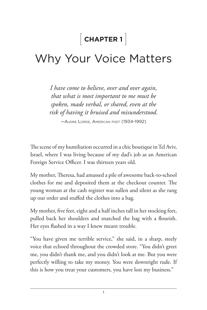#### [  **CHAPTER 1** ]

### Why Your Voice Matters

*I have come to believe, over and over again, that what is most important to me must be spoken, made verbal, or shared, even at the risk of having it bruised and misunderstood.*

—Audre Lorde, American poet (1934-1992)

The scene of my humiliation occurred in a chic boutique in Tel Aviv, Israel, where I was living because of my dad's job as an American Foreign Service Officer. I was thirteen years old.

My mother, Theresa, had amassed a pile of awesome back-to-school clothes for me and deposited them at the checkout counter. The young woman at the cash register was sullen and silent as she rang up our order and stuffed the clothes into a bag.

My mother, five feet, eight and a half inches tall in her stocking feet, pulled back her shoulders and snatched the bag with a flourish. Her eyes flashed in a way I knew meant trouble.

"You have given me terrible service," she said, in a sharp, steely voice that echoed throughout the crowded store. "You didn't greet me, you didn't thank me, and you didn't look at me. But you were perfectly willing to take my money. You were downright rude. If this is how you treat your customers, you have lost my business."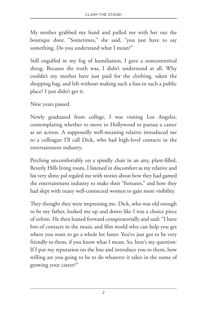My mother grabbed my hand and pulled me with her out the boutique door. "Sometimes," she said, "you just have to say something. Do you understand what I mean?"

Still engulfed in my fog of humiliation, I gave a noncommittal shrug. Because the truth was, I didn't understand at all. Why couldn't my mother have just paid for the clothing, taken the shopping bag, and left without making such a fuss in such a public place? I just didn't get it.

Nine years passed.

Newly graduated from college, I was visiting Los Angeles, contemplating whether to move to Hollywood to pursue a career as an actress. A supposedly well-meaning relative introduced me to a colleague I'll call Dick, who had high-level contacts in the entertainment industry.

Perching uncomfortably on a spindly chair in an airy, plant-filled, Beverly Hills living room, I listened in discomfort as my relative and his very slimy pal regaled me with stories about how they had gamed the entertainment industry to make their "fortunes," and how they had slept with many well-connected women to gain more visibility.

They thought they were impressing me. Dick, who was old enough to be my father, looked me up and down like I was a choice piece of sirloin. He then leaned forward conspiratorially and said: "I have lots of contacts in the music and film world who can help you get where you want to go a whole lot faster. You've just got to be very friendly to them, if you know what I mean. So, here's my question: If I put my reputation on the line and introduce you to them, how willing are you going to be to do whatever it takes in the name of growing your career?"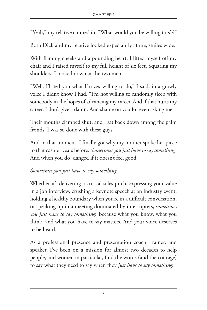"Yeah," my relative chimed in, "What would you be willing to *do*?"

Both Dick and my relative looked expectantly at me, smiles wide.

With flaming cheeks and a pounding heart, I lifted myself off my chair and I raised myself to my full height of six feet. Squaring my shoulders, I looked down at the two men.

"Well, I'll tell you what I'm *not* willing to do," I said, in a growly voice I didn't know I had. "I'm not willing to randomly sleep with somebody in the hopes of advancing my career. And if that hurts my career, I don't give a damn. And shame on you for even asking me."

Their mouths clamped shut, and I sat back down among the palm fronds. I was so done with these guys.

And in that moment, I finally got why my mother spoke her piece to that cashier years before*: Sometimes you just have to say something*. And when you do, danged if it doesn't feel good.

#### *Sometimes you just have to say something*.

Whether it's delivering a critical sales pitch, expressing your value in a job interview, crushing a keynote speech at an industry event, holding a healthy boundary when you're in a difficult conversation, or speaking up in a meeting dominated by interrupters, *sometimes you just have to say something.* Because what you know, what you think, and what you have to say matters. And your voice deserves to be heard.

As a professional presence and presentation coach, trainer, and speaker, I've been on a mission for almost two decades to help people, and women in particular, find the words (and the courage) to say what they need to say when they *just have to say something.*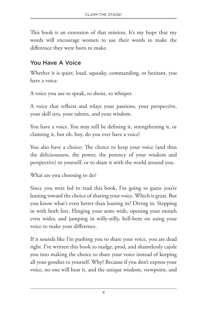This book is an extension of that mission. It's my hope that my words will encourage women to use their words to make the difference they were born to make.

#### You Have A Voice

Whether it is quiet, loud, squeaky, commanding, or hesitant, you have a voice.

A voice you use to speak, to shout, to whisper.

A voice that reflects and relays your passions, your perspective, your skill sets, your talents, and your wisdom.

You have a voice. You may still be defining it, strengthening it, or claiming it, but oh, boy, do you ever have a voice!

You also have a choice: The choice to keep your voice (and thus the deliciousness, the power, the potency of your wisdom and perspective) to yourself, or to share it with the world around you.

What are you choosing to do?

Since you were led to read this book, I'm going to guess you're leaning toward the choice of sharing your voice. Which is great. But you know what's even better than leaning in? Diving in. Stepping in with both feet. Flinging your arms wide, opening your mouth even wider, and jumping in willy-nilly, hell-bent on using your voice to make your difference.

If it sounds like I'm pushing you to share your voice, you are dead right. I've written this book to nudge, prod, and shamelessly cajole you into making the choice to share your voice instead of keeping all your goodies to yourself. Why? Because if you don't express your voice, no one will hear it, and the unique wisdom, viewpoint, and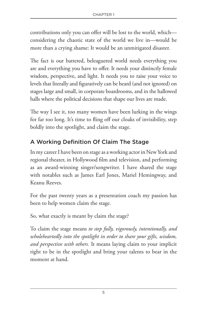contributions only you can offer will be lost to the world, which considering the chaotic state of the world we live in—would be more than a crying shame: It would be an unmitigated disaster.

The fact is our battered, beleaguered world needs everything you are and everything you have to offer. It needs your distinctly female wisdom, perspective, and light. It needs you to raise your voice to levels that literally and figuratively can be heard (and not ignored) on stages large and small, in corporate boardrooms, and in the hallowed halls where the political decisions that shape our lives are made.

The way I see it, too many women have been lurking in the wings for far too long. It's time to fling off our cloaks of invisibility, step boldly into the spotlight, and claim the stage.

#### A Working Definition Of Claim The Stage

In my career I have been on stage as a working actor in New York and regional theater, in Hollywood film and television, and performing as an award-winning singer/songwriter. I have shared the stage with notables such as James Earl Jones, Mariel Hemingway, and Keanu Reeves.

For the past twenty years as a presentation coach my passion has been to help women claim the stage.

So, what exactly is meant by claim the stage?

To claim the stage means *to step fully, vigorously, intentionally, and wholeheartedly into the spotlight in order to share your gifts, wisdom, and perspective with others.* It means laying claim to your implicit right to be in the spotlight and bring your talents to bear in the moment at hand.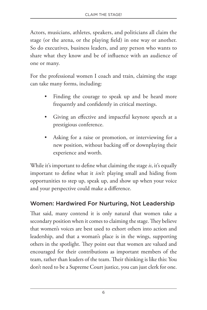Actors, musicians, athletes, speakers, and politicians all claim the stage (or the arena, or the playing field) in one way or another. So do executives, business leaders, and any person who wants to share what they know and be of influence with an audience of one or many.

For the professional women I coach and train, claiming the stage can take many forms, including:

- Finding the courage to speak up and be heard more frequently and confidently in critical meetings.
- Giving an effective and impactful keynote speech at a prestigious conference.
- Asking for a raise or promotion, or interviewing for a new position, without backing off or downplaying their experience and worth.

While it's important to define what claiming the stage *is*, it's equally important to define what it *isn't*: playing small and hiding from opportunities to step up, speak up, and show up when your voice and your perspective could make a difference.

#### Women: Hardwired For Nurturing, Not Leadership

That said, many contend it is only natural that women take a secondary position when it comes to claiming the stage. They believe that women's voices are best used to exhort others into action and leadership, and that a woman's place is in the wings, supporting others in the spotlight. They point out that women are valued and encouraged for their contributions as important members of the team, rather than leaders of the team. Their thinking is like this: You don't need to be a Supreme Court justice, you can just clerk for one.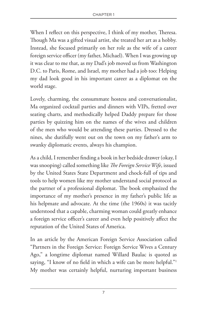When I reflect on this perspective, I think of my mother, Theresa. Though Ma was a gifted visual artist, she treated her art as a hobby. Instead, she focused primarily on her role as the wife of a career foreign service officer (my father, Michael). When I was growing up it was clear to me that, as my Dad's job moved us from Washington D.C. to Paris, Rome, and Israel, my mother had a job too: Helping my dad look good in his important career as a diplomat on the world stage.

Lovely, charming, the consummate hostess and conversationalist, Ma organized cocktail parties and dinners with VIPs, fretted over seating charts, and methodically helped Daddy prepare for those parties by quizzing him on the names of the wives and children of the men who would be attending these parties. Dressed to the nines, she dutifully went out on the town on my father's arm to swanky diplomatic events, always his champion.

As a child, I remember finding a book in her bedside drawer (okay, I was snooping) called something like *The Foreign Service Wife*, issued by the United States State Department and chock-full of tips and tools to help women like my mother understand social protocol as the partner of a professional diplomat. The book emphasized the importance of my mother's presence in my father's public life as his helpmate and advocate. At the time (the 1960s) it was tacitly understood that a capable, charming woman could greatly enhance a foreign service officer's career and even help positively affect the reputation of the United States of America.

In an article by the American Foreign Service Association called "Partners in the Foreign Service: Foreign Service Wives a Century Ago," a longtime diplomat named Willard Baulac is quoted as saying, "I know of no field in which a wife can be more helpful."<sup>1</sup> My mother was certainly helpful, nurturing important business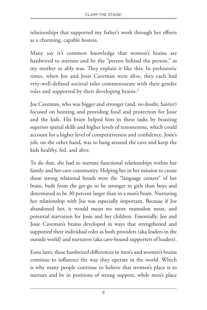relationships that supported my father's work through her efforts as a charming, capable hostess.

Many say it's common knowledge that women's brains are hardwired to nurture and be the "person behind the person," as my mother so ably was. They explain it like this: In prehistoric times, when Joe and Josie Caveman were alive, they each had very-well-defined societal roles commensurate with their gender roles and supported by their developing brains.<sup>2</sup>

Joe Caveman, who was bigger and stronger (and, no doubt, hairier) focused on hunting and providing food and protection for Josie and the kids. His brain helped him in these tasks by boasting superior spatial skills and higher levels of testosterone, which could account for a higher level of competitiveness and confidence. Josie's job, on the other hand, was to hang around the cave and keep the kids healthy, fed, and alive.

To do that, she had to nurture functional relationships within her family and her cave community. Helping her in her mission to create those strong relational bonds were the "language centers" of her brain, built from the get-go to be stronger in girls than boys and determined to be 30 percent larger than in a man's brain. Nurturing her relationship with Joe was especially important. Because if Joe abandoned her, it would mean no more mastodon meat, and potential starvation for Josie and her children. Essentially, Joe and Josie Caveman's brains developed in ways that strengthened and supported their individual roles as both providers (aka leaders in the outside world) and nurturers (aka cave-bound supporters of leaders).

Eons later, these hardwired differences in men's and women's brains continue to influence the way they operate in the world. Which is why many people continue to believe that women's place is to nurture and be in positions of strong support, while men's place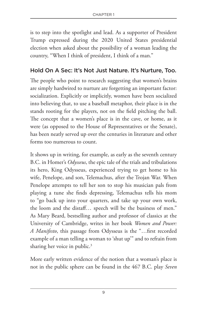is to step into the spotlight and lead. As a supporter of President Trump expressed during the 2020 United States presidential election when asked about the possibility of a woman leading the country, "When I think of president, I think of a man."

#### Hold On A Sec: It's Not Just Nature. It's Nurture, Too.

The people who point to research suggesting that women's brains are simply hardwired to nurture are forgetting an important factor: socialization. Explicitly or implicitly, women have been socialized into believing that, to use a baseball metaphor, their place is in the stands rooting for the players, not on the field pitching the ball. The concept that a women's place is in the cave, or home, as it were (as opposed to the House of Representatives or the Senate), has been neatly served up over the centuries in literature and other forms too numerous to count.

It shows up in writing, for example, as early as the seventh century B.C. in Homer's *Odysseus*, the epic tale of the trials and tribulations its hero, King Odysseus, experienced trying to get home to his wife, Penelope, and son, Telemachus, after the Trojan War. When Penelope attempts to tell her son to stop his musician pals from playing a tune she finds depressing, Telemachus tells his mom to "go back up into your quarters, and take up your own work, the loom and the distaff… speech will be the business of men." As Mary Beard, bestselling author and professor of classics at the University of Cambridge, writes in her book *Women and Power: A Manifesto*, this passage from Odysseus is the "…first recorded example of a man telling a woman to 'shut up'" and to refrain from sharing her voice in public.<sup>3</sup>

More early written evidence of the notion that a woman's place is not in the public sphere can be found in the 467 B.C. play *Seven*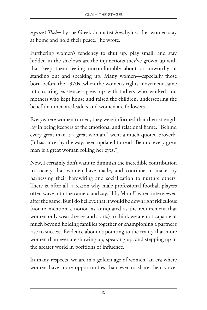*Against Thebes* by the Greek dramatist Aeschylus. "Let women stay at home and hold their peace," he wrote.

Furthering women's tendency to shut up, play small, and stay hidden in the shadows are the injunctions they've grown up with that keep them feeling uncomfortable about or unworthy of standing out and speaking up. Many women—especially those born before the 1970s, when the women's rights movement came into roaring existence—grew up with fathers who worked and mothers who kept house and raised the children, underscoring the belief that men are leaders and women are followers.

Everywhere women turned, they were informed that their strength lay in being keepers of the emotional and relational flame. "Behind every great man is a great woman," went a much-quoted proverb. (It has since, by the way, been updated to read "Behind every great man is a great woman rolling her eyes.")

Now, I certainly don't want to diminish the incredible contribution to society that women have made, and continue to make, by harnessing their hardwiring and socialization to nurture others. There is, after all, a reason why male professional football players often wave into the camera and say, "Hi, Mom!" when interviewed after the game. But I do believe that it would be downright ridiculous (not to mention a notion as antiquated as the requirement that women only wear dresses and skirts) to think we are not capable of much beyond holding families together or championing a partner's rise to success. Evidence abounds pointing to the reality that more women than ever are showing up, speaking up, and stepping up in the greater world in positions of influence.

In many respects, we are in a golden age of women, an era where women have more opportunities than ever to share their voice,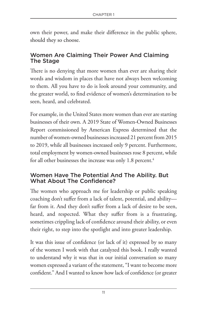own their power, and make their difference in the public sphere, should they so choose.

#### Women Are Claiming Their Power And Claiming The Stage

There is no denying that more women than ever are sharing their words and wisdom in places that have not always been welcoming to them. All you have to do is look around your community, and the greater world, to find evidence of women's determination to be seen, heard, and celebrated.

For example, in the United States more women than ever are starting businesses of their own. A 2019 State of Women-Owned Businesses Report commissioned by American Express determined that the number of women-owned businesses increased 21 percent from 2015 to 2019, while all businesses increased only 9 percent. Furthermore, total employment by women-owned businesses rose 8 percent, while for all other businesses the increase was only 1.8 percent.<sup>4</sup>

#### Women Have The Potential And The Ability. But What About The Confidence?

The women who approach me for leadership or public speaking coaching don't suffer from a lack of talent, potential, and ability far from it. And they don't suffer from a lack of desire to be seen, heard, and respected. What they suffer from is a frustrating, sometimes crippling lack of confidence around their ability, or even their right, to step into the spotlight and into greater leadership.

It was this issue of confidence (or lack of it) expressed by so many of the women I work with that catalyzed this book. I really wanted to understand why it was that in our initial conversation so many women expressed a variant of the statement, "I want to become more confident." And I wanted to know how lack of confidence (or greater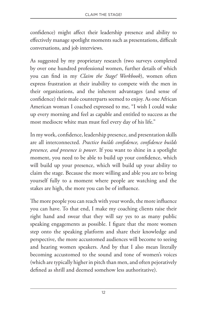confidence) might affect their leadership presence and ability to effectively manage spotlight moments such as presentations, difficult conversations, and job interviews.

As suggested by my proprietary research (two surveys completed by over one hundred professional women, further details of which you can find in my *Claim the Stage! Workbook*), women often express frustration at their inability to compete with the men in their organizations, and the inherent advantages (and sense of confidence) their male counterparts seemed to enjoy. As one African American woman I coached expressed to me, "I wish I could wake up every morning and feel as capable and entitled to success as the most mediocre white man must feel every day of his life."

In my work, confidence, leadership presence, and presentation skills are all interconnected. *Practice builds confidence, confidence builds presence, and presence is power*. If you want to shine in a spotlight moment, you need to be able to build up your confidence, which will build up your presence, which will build up your ability to claim the stage. Because the more willing and able you are to bring yourself fully to a moment where people are watching and the stakes are high, the more you can be of influence.

The more people you can reach with your words, the more influence you can have. To that end, I make my coaching clients raise their right hand and swear that they will say yes to as many public speaking engagements as possible. I figure that the more women step onto the speaking platform and share their knowledge and perspective, the more accustomed audiences will become to seeing and hearing women speakers. And by that I also mean literally becoming accustomed to the sound and tone of women's voices (which are typically higher in pitch than men, and often pejoratively defined as shrill and deemed somehow less authoritative).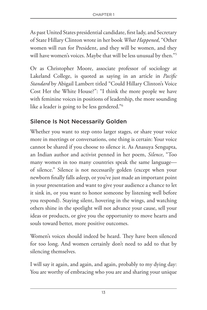As past United States presidential candidate, first lady, and Secretary of State Hillary Clinton wrote in her book *What Happened*, "Other women will run for President, and they will be women, and they will have women's voices. Maybe that will be less unusual by then."<sup>5</sup>

Or as Christopher Moore, associate professor of sociology at Lakeland College, is quoted as saying in an article in *Pacific Standard* by Abigail Lambert titled "Could Hillary Clinton's Voice Cost Her the White House?": "I think the more people we have with feminine voices in positions of leadership, the more sounding like a leader is going to be less gendered."6

#### Silence Is Not Necessarily Golden

Whether you want to step onto larger stages, or share your voice more in meetings or conversations, one thing is certain: Your voice cannot be shared if you choose to silence it. As Anasuya Sengupta, an Indian author and activist penned in her poem, *Silence*, "Too many women in too many countries speak the same language of silence." Silence is not necessarily golden (except when your newborn finally falls asleep, or you've just made an important point in your presentation and want to give your audience a chance to let it sink in, or you want to honor someone by listening well before you respond). Staying silent, hovering in the wings, and watching others shine in the spotlight will not advance your cause, sell your ideas or products, or give you the opportunity to move hearts and souls toward better, more positive outcomes.

Women's voices should indeed be heard. They have been silenced for too long. And women certainly don't need to add to that by silencing themselves.

I will say it again, and again, and again, probably to my dying day: You are worthy of embracing who you are and sharing your unique